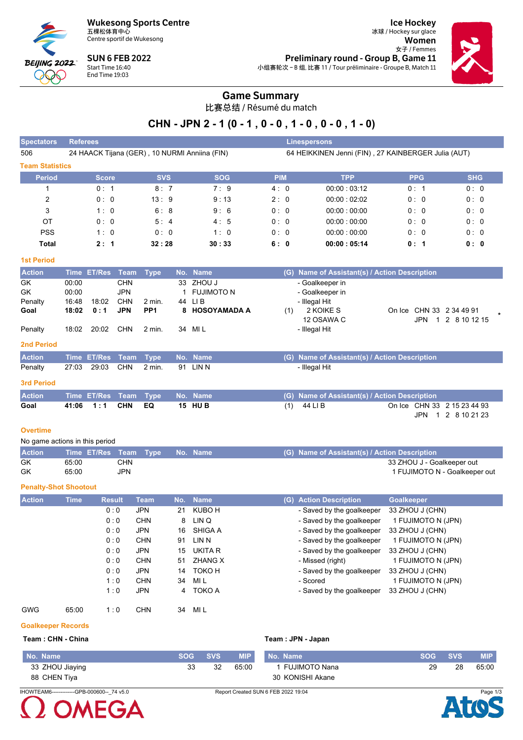

Centre sportif de Wukesong

**SUN 6 FEB 2022** Start Time 16:40<br>End Time 19:03

**Ice Hockey** 冰球 / Hockey sur glace Women 女子 / Femmes Preliminary round - Group B, Game 11 小组赛轮次-B组,比赛11/Tour préliminaire - Groupe B, Match 11



### **Game Summary**

比赛总结 / Résumé du match

### CHN - JPN 2 - 1 (0 - 1, 0 - 0, 1 - 0, 0 - 0, 1 - 0)

| Spectators             | <b>Referees</b>                  |                                                          |                                        |            | <b>Linespersons</b>                                 |            |            |
|------------------------|----------------------------------|----------------------------------------------------------|----------------------------------------|------------|-----------------------------------------------------|------------|------------|
| 506                    |                                  | 24 HAACK Tijana (GER), 10 NURMI Anniina (FIN)            |                                        |            | 64 HEIKKINEN Jenni (FIN), 27 KAINBERGER Julia (AUT) |            |            |
| <b>Team Statistics</b> |                                  |                                                          |                                        |            |                                                     |            |            |
| <b>Period</b>          | <b>Score</b>                     | <b>SVS</b>                                               | <b>SOG</b>                             | <b>PIM</b> | <b>TPP</b>                                          | <b>PPG</b> | <b>SHG</b> |
|                        | 0:1                              | 8:7                                                      | 7:9                                    | 4:0        | 00.00:03.12                                         | 0:1        | 0:0        |
| 2                      | 0:0                              | 13:9                                                     | 9:13                                   | 2:0        | 00.00:02.02                                         | 0:0        | 0:0        |
| 3                      | 1:0                              | 6:8                                                      | 9:6                                    | 0:0        | 00:00:00:00                                         | 0:0        | 0:0        |
| OT                     | 0: 0                             | 5:4                                                      | 4:5                                    | 0:0        | 00.00:00.00                                         | 0:0        | 0:0        |
| <b>PSS</b>             | 1:0                              | 0:0                                                      | 1:0                                    | 0:0        | 00.00:00.00                                         | 0:0        | 0:0        |
| <b>Total</b>           | 2:1                              | 32:28                                                    | 30:33                                  | 6:0        | 00:00:05:14                                         | 0:1        | 0: 0       |
| <b>1st Period</b>      |                                  |                                                          |                                        |            |                                                     |            |            |
| <b>Action</b>          | <b>ET/Res</b><br><b>Time</b>     | Team<br><b>Type</b>                                      | No. Name                               | (G)        | Name of Assistant(s) / Action Description           |            |            |
| GK<br>GK<br>Penalty    | 00:00<br>00:00<br>16:48<br>18:02 | <b>CHN</b><br><b>JPN</b><br><b>CHN</b><br>44<br>$2$ min. | 33 ZHOU J<br><b>FUJIMOTO N</b><br>LI B |            | - Goalkeeper in<br>- Goalkeeper in<br>- Illegal Hit |            |            |

| Goal              | 18:02 | 0:1                   | <b>JPN</b> | PP <sub>1</sub> | 8 HOSOYAMADA A | (1) | 2 KOIKE S                                     |      | On Ice CHN 33 2 34 49 91    |  |
|-------------------|-------|-----------------------|------------|-----------------|----------------|-----|-----------------------------------------------|------|-----------------------------|--|
|                   |       |                       |            |                 |                |     | 12 OSAWA C                                    | JPN  | 1 2 8 10 12 15              |  |
| Penalty           | 18:02 | 20:02                 | <b>CHN</b> | 2 min.          | 34 MIL         |     | - Illegal Hit                                 |      |                             |  |
| <b>2nd Period</b> |       |                       |            |                 |                |     |                                               |      |                             |  |
| <b>Action</b>     |       | Time ET/Res Team Type |            |                 | No. Name       |     | (G) Name of Assistant(s) / Action Description |      |                             |  |
| Penalty           | 27:03 | 29.03                 | <b>CHN</b> | $2$ min.        | 91 LIN N       |     | - Illegal Hit                                 |      |                             |  |
| <b>3rd Period</b> |       |                       |            |                 |                |     |                                               |      |                             |  |
| <b>Action</b>     |       | Time ET/Res Team Type |            |                 | No. Name       |     | (G) Name of Assistant(s) / Action Description |      |                             |  |
| Goal              | 41:06 | 1:1                   | <b>CHN</b> | EQ              | <b>15 HUB</b>  | (1) | 44 LI B                                       |      | On Ice CHN 33 2 15 23 44 93 |  |
|                   |       |                       |            |                 |                |     |                                               | JPN. | 2 8 10 21 23                |  |
|                   |       |                       |            |                 |                |     |                                               |      |                             |  |

### **Overtime**

| No game actions in this period |                                |     |  |  |  |                                               |  |  |  |  |  |  |
|--------------------------------|--------------------------------|-----|--|--|--|-----------------------------------------------|--|--|--|--|--|--|
| <b>Action</b>                  | Time ET/Res Team Type No. Name |     |  |  |  | (G) Name of Assistant(s) / Action Description |  |  |  |  |  |  |
| GK                             | 65:00                          | CHN |  |  |  | 33 ZHOU J - Goalkeeper out                    |  |  |  |  |  |  |
| GK                             | 65:00                          | JPN |  |  |  | 1 FUJIMOTO N - Goalkeeper out                 |  |  |  |  |  |  |

### **Penalty-Shot Shootout**

| <b>Action</b> | <b>Time</b> | <b>Result</b> | <b>Team</b> | No. | <b>Name</b>    | <b>Action Description</b><br>(G) | Goalkeeper         |
|---------------|-------------|---------------|-------------|-----|----------------|----------------------------------|--------------------|
|               |             | 0:0           | <b>JPN</b>  | 21  | KUBO H         | - Saved by the goalkeeper        | 33 ZHOU J (CHN)    |
|               |             | 0:0           | <b>CHN</b>  | 8   | LIN Q          | - Saved by the goalkeeper        | 1 FUJIMOTO N (JPN) |
|               |             | 0:0           | <b>JPN</b>  | 16  | SHIGA A        | - Saved by the goalkeeper        | 33 ZHOU J (CHN)    |
|               |             | 0:0           | <b>CHN</b>  | 91  | LIN N          | - Saved by the goalkeeper        | 1 FUJIMOTO N (JPN) |
|               |             | 0:0           | <b>JPN</b>  | 15  | UKITA R        | - Saved by the goalkeeper        | 33 ZHOU J (CHN)    |
|               |             | 0:0           | <b>CHN</b>  | 51  | <b>ZHANG X</b> | - Missed (right)                 | 1 FUJIMOTO N (JPN) |
|               |             | 0:0           | <b>JPN</b>  | 14  | ТОКО Н         | - Saved by the goalkeeper        | 33 ZHOU J (CHN)    |
|               |             | 1:0           | <b>CHN</b>  | 34  | MI L           | - Scored                         | 1 FUJIMOTO N (JPN) |
|               |             | 1:0           | <b>JPN</b>  | 4   | TOKO A         | - Saved by the goalkeeper        | 33 ZHOU J (CHN)    |
| <b>GWG</b>    | 65:00       | 1:0           | <b>CHN</b>  | 34  | MI L           |                                  |                    |

### **Goalkeeper Records**

### Team: CHN - China

|    |            |            | Team: JPN - Japan |  |
|----|------------|------------|-------------------|--|
| G. | <b>SVS</b> | <b>MIP</b> | No Namo           |  |

| No. Name        | <b>SOG</b> | <b>SVS</b> | <b>MIP</b> | No. Name         | <b>SOG</b> | <b>SVS</b> | MIP.  |
|-----------------|------------|------------|------------|------------------|------------|------------|-------|
| 33 ZHOU Jiaying | 33         | 32         | 65.00      | ` FUJIMOTO Nana  | 29         | 28         | 65:00 |
| 88 CHEN Tiya    |            |            |            | 30 KONISHI Akane |            |            |       |

IHOWTEAM6-------------GPB-000600--\_74 v5.0

# EGΔ

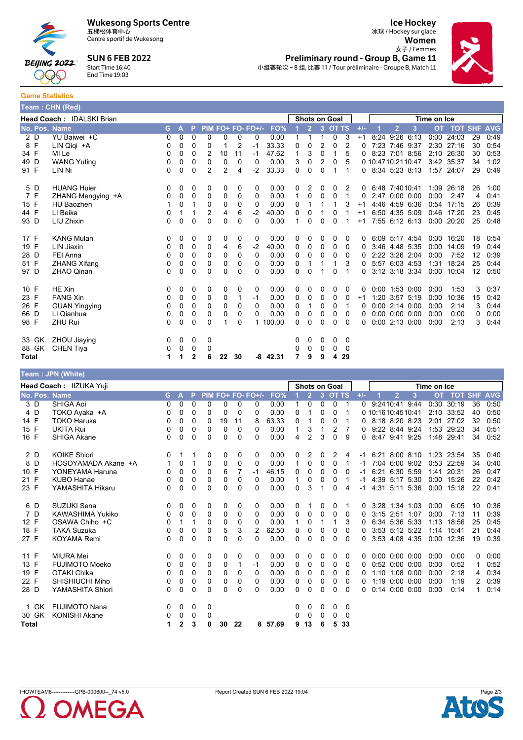

Centre sportif de Wukesong

**SUN 6 FEB 2022** 



 $T_{\text{const}}$   $\sim$   $\Omega$  INT (Deal)

## Start Time 16:40

**Ice Hockey** 冰球 / Hockey sur glace Women

女子 / Femmes



Preliminary round - Group B, Game 11 小组赛轮次 - B 组, 比赛 11 / Tour préliminaire - Groupe B, Match 11

 $End Time 19:03$ **Game Statistics** 

|               | $\overline{\phantom{a}}$ really $\overline{\phantom{a}}$ . Of the $\overline{\phantom{a}}$ |   |   |          |                |    |                |                   |            |          |                |   |                      |          |       |                   |                      |                  |           |            |            |            |
|---------------|--------------------------------------------------------------------------------------------|---|---|----------|----------------|----|----------------|-------------------|------------|----------|----------------|---|----------------------|----------|-------|-------------------|----------------------|------------------|-----------|------------|------------|------------|
|               | Head Coach: IDALSKI Brian                                                                  |   |   |          |                |    |                |                   |            |          |                |   | <b>Shots on Goal</b> |          |       | Time on Ice       |                      |                  |           |            |            |            |
| No. Pos. Name |                                                                                            | G | А |          |                |    |                | PIM FO+ FO- FO+/- | FO%        |          | $\overline{2}$ | 3 | <b>OT TS</b>         |          | $+/-$ |                   | $\overline{2}$       | 3                | <b>OT</b> | <b>TOT</b> | <b>SHF</b> | <b>AVG</b> |
| 2 D           | YU Baiwei +C                                                                               | 0 | 0 | $\Omega$ | 0              | 0  | 0              | 0                 | 0.00       |          | 1              | 1 | 0                    | 3        | $+1$  |                   | 8:24 9:26 6:13       |                  | 0:00      | 24:03      | 29         | 0:49       |
| 8 F           | LIN Qiqi +A                                                                                | 0 | 0 | 0        | 0              |    | $\overline{2}$ | -1                | 33.33      | 0        | 0              | 2 | 0                    |          | 0     |                   | 7:23 7:46 9:37       |                  | 2:30      | 27:16      | 30         | 0:54       |
| 34 F          | MI Le                                                                                      | 0 | 0 | $\Omega$ | 2              | 10 | 11             | $-1$              | 47.62      | 1        | 3              | 0 |                      | 5        | 0     |                   | 8:23 7:01 8:56       |                  | 2:10      | 26:30      | 30         | 0:53       |
| 49 D          | <b>WANG Yuting</b>                                                                         | 0 | 0 | 0        | 0              | 0  | 0              | 0                 | 0.00       | 3        | 0              | 2 | 0                    | 5        |       | 0 10:4710:2110:47 |                      |                  | 3:42      | 35:37      | 34         | 1:02       |
| 91 F          | LIN Ni                                                                                     | 0 | 0 | 0        | $\overline{2}$ | 2  | 4              | $-2$              | 33.33      | 0        | 0              | 0 |                      |          | 0     | 8:34 5:23 8:13    |                      |                  |           | 1:57 24:07 | 29         | 0:49       |
| 5 D           | <b>HUANG Huier</b>                                                                         | 0 | 0 | 0        | 0              | 0  | 0              | 0                 | 0.00       | 0        | 2              | 0 | 0                    | 2        | 0     |                   | 6:48 7:4010:41       |                  |           | 1:09 26:18 | 26         | 1:00       |
| 7 F           | ZHANG Mengying +A                                                                          | 0 | 0 | 0        | 0              | 0  | 0              | 0                 | 0.00       | 1        | $\Omega$       | 0 | 0                    |          | 0     |                   | 2:47 0:00 0:00       |                  | 0:00      | 2:47       | 4          | 0:41       |
| 15 F          | <b>HU Baozhen</b>                                                                          |   | 0 | 1        | 0              | 0  | 0              | 0                 | 0.00       | 0        |                |   |                      | 3        | $+1$  |                   | 4:46 4:59 6:36       |                  | 0:54      | 17:15      | 26         | 0:39       |
| 44 F          | LI Beika                                                                                   | 0 |   |          | $\overline{2}$ | 4  | 6              | $-2$              | 40.00      | 0        | 0              |   | 0                    |          | $+1$  |                   | 6:50 4:35 5:09       |                  | 0:46      | 17:20      | 23         | 0:45       |
| 93 D          | LIU Zhixin                                                                                 | 0 | 0 | $\Omega$ | 0              | 0  | 0              | 0                 | 0.00       | 1        | 0              | 0 | 0                    |          | $+1$  |                   |                      | 7:55 6:12 6:13   | 0:00      | 20:20      | 25         | 0:48       |
| 17 F          | <b>KANG Mulan</b>                                                                          | 0 | 0 | 0        | 0              | 0  | 0              | 0                 | 0.00       | 0        | 0              | 0 | 0                    | 0        | 0     |                   | 6:09 5:17 4:54       |                  | 0:00      | 16:20      | 18         | 0:54       |
| 19 F          | LIN Jiaxin                                                                                 | 0 | 0 | 0        | 0              | 4  | 6              | $-2$              | 40.00      | $\Omega$ | 0              | 0 | 0                    | $\Omega$ |       |                   | 3:46 4:48 5:35       |                  | 0:00      | 14:09      | 19         | 0:44       |
| 28 D          | FEI Anna                                                                                   | 0 | 0 | 0        | 0              | 0  | 0              | 0                 | 0.00       | 0        | 0              | 0 | 0                    | $\Omega$ |       |                   | 2:22 3:26 2:04       |                  | 0:00      | 7:52       | 12         | 0:39       |
| 51 F          | <b>ZHANG Xifang</b>                                                                        | 0 | 0 | 0        | 0              | 0  | 0              | 0                 | 0.00       | 0        |                |   |                      | 3        | 0     |                   | 5:57 6:03 4:53       |                  | 1:31      | 18:24      | 25         | 0.44       |
| 97 D          | <b>ZHAO Qinan</b>                                                                          | 0 | 0 | 0        | 0              | 0  | 0              | 0                 | 0.00       | 0        | 0              |   | 0                    |          | 0     |                   | 3:12 3:18 3:34       |                  | 0:00      | 10:04      | 12         | 0:50       |
| 10 F          | HE Xin                                                                                     | 0 | 0 | 0        | 0              | 0  | 0              | 0                 | 0.00       | 0        | 0              | 0 | 0                    | 0        | 0     |                   |                      | $0:00$ 1:53 0:00 | 0:00      | 1:53       | 3          | 0:37       |
| 23 F          | <b>FANG Xin</b>                                                                            | 0 | 0 | 0        | 0              | 0  |                | $-1$              | 0.00       | 0        | 0              | 0 | 0                    | $\Omega$ | $+1$  | 1:20              |                      | 3:57 5:19        | 0:00      | 10:36      | 15         | 0:42       |
| 26 F          | <b>GUAN Yingying</b>                                                                       | 0 | 0 | 0        | 0              | 0  | 0              | 0                 | 0.00       | 0        | 1              | 0 | 0                    |          | 0     |                   | $0:00$ 2:14 $0:00$   |                  | 0:00      | 2:14       | 3          | 0:44       |
| 66 D          | LI Qianhua                                                                                 | 0 | 0 | 0        | 0              | 0  | 0              | 0                 | 0.00       | 0        | 0              | 0 | 0                    | 0        | 0     |                   | $0:00$ $0:00$ $0:00$ |                  | 0:00      | 0:00       | 0          | 0:00       |
| 98 F          | ZHU Rui                                                                                    | 0 | 0 | 0        | 0              |    | 0              |                   | 1 100.00   | 0        | 0              | 0 | 0                    | $\Omega$ | 0     |                   |                      | 0:00 2:13 0:00   | 0:00      | 2:13       | 3          | 0:44       |
| 33 GK         | ZHOU Jiaying                                                                               | 0 | 0 | 0        | 0              |    |                |                   |            | 0        | 0              | 0 | 0                    | 0        |       |                   |                      |                  |           |            |            |            |
| 88 GK         | <b>CHEN Tiya</b>                                                                           | 0 | 0 | 0        | 0              |    |                |                   |            | 0        | 0              | 0 | 0                    | $\Omega$ |       |                   |                      |                  |           |            |            |            |
| Total         |                                                                                            | 1 | 1 | 2        | 6              | 22 | 30             |                   | $-8$ 42.31 | 7        | 9              | 9 | 4                    | 29       |       |                   |                      |                  |           |            |            |            |

### Team: JPN (White) Shots on Goal Head Coach: IIZUKA Yuji Time on Ice No. Pos. Name OT TOT SHF  $\overline{2}$ 3 OT TS G P **PIM FO+**  $FO-FO+$ **FO**  $\overline{2}$  $3<sup>1</sup>$ **AVG**  $3\overline{D}$ **SHIGA Aoi**  $\overline{0}$  $\overline{0}$  $\overline{0}$  $\overline{0}$  $\overline{0}$  $\overline{0}$  $\overline{0}$  $0.00$  $\overline{1}$  $\overline{0}$  $\overline{0}$  $\overline{0}$  $\overline{1}$ 0 9:2410:41 9:44  $0:30$  30:19  $36$  $0:50$ TOKO Ayaka +A  $4D$  $\overline{0}$  $\overline{0}$  $0.00$ 2:10 33:52  $\Omega$  $\Omega$  $\Omega$  $\Omega$  $\Omega$  $\Omega$  $\Omega$  $\Omega$ 0 10 1610 4510 41  $40$  $0.50$  $\overline{1}$  $\overline{1}$ 14 F **TOKO Haruka**  $\mathbf 0$  $\pmb{0}$  $\pmb{0}$  $\pmb{0}$ 19 11  $\bf 8$ 63.33  $\pmb{0}$  $\overline{1}$  $\pmb{0}$  $\pmb{0}$  $\Omega$ 8:18 8:20 8:23 2:01 27:02 32  $0.50$  $\overline{1}$  $15 F$ **UKITA Rui**  $\overline{0}$  $\mathbf 0$  $\mathbf 0$  $\mathbf 0$  $\mathbf 0$  $\mathbf 0$  $\mathbf 0$  $0.00$  $\mathbf{1}$  $\overline{3}$  $\overline{2}$  $\overline{7}$ 9:22 8:44 9:24 1:53 29:23 34  $0:51$  $\overline{1}$  $\overline{0}$  $16F$ SHIGA Akane  $\Omega$  $\mathbf 0$  $\mathbf 0$  $\overline{0}$  $0.00$  $\overline{4}$  $\mathbf{3}$  $\mathbf 0$  $\mathbf{q}$ 0 8:47 9:41 9:25 1:48 29:41 34  $0:52$  $\Omega$  $\Omega$  $\mathbf 0$  $\mathcal{P}$  $2<sub>D</sub>$ KOIKE Shiori  $\Omega$  $\Omega$  $\Omega$  $\Omega$  $\Omega$  $0.00$  $\Omega$  $\mathcal{D}$  $\Omega$  $\mathcal{D}$ 6.21 8.00 8.10 1 23 23:54  $0.40$  $\overline{1}$  $\overline{1}$  $\Delta$  $-1$ 35 8 D HOSOYAMADA Akane +A  $\mathbf{1}$  $\mathbf 0$  $\mathbf{1}$  $\mathbf 0$  $\mathbf 0$  $\mathbf 0$  $\pmb{0}$  $0.00$  $\mathbf{1}$  $\mathbf 0$  $\mathbf 0$  $\pmb{0}$  $\mathbf{1}$  $-1$ 7:04 6:00 9:02 0:53 22:59 34  $0:40$ YONEYAMA Haruna  $10 F$  $\Omega$  $\Omega$  $\Omega$  $\Omega$ 46 15  $\Omega$  $\Omega$  $\Omega$  $\Omega$  $\Omega$  $-1$ 6.21 6.30 5.59 1:41 20:31 26  $0.47$ 6  $\overline{7}$  $-1$ KUBO Hanae  $21 F$  $\Omega$  $\Omega$  $\Omega$  $\Omega$  $\Omega$  $\Omega$  $\Omega$  $0.00$  $\mathbf{1}$  $\Omega$  $\Omega$  $\Omega$  $\overline{1}$  $-1$ 4:39 5:17 5:30 0:00 15:26  $22$  $0.42$ 23 F YAMASHITA Hikaru  $\mathbf 0$  $\mathbf 0$  $\mathbf 0$  $\overline{0}$  $0.00$  $\mathbf 0$  $\mathbf 0$ 0:00 15:18 22  $0:41$  $\Omega$  $\Omega$  $\Omega$ 3  $\overline{1}$  $\overline{4}$  $-1$ 4:31 5:11 5:36 6 D SUZUKI Sena  $\overline{0}$  $\mathbf 0$  $\mathbf 0$  $\mathbf 0$  $0.00$  $\mathbf 0$  $\overline{0}$ 3:28 1:34 1:03 0:00  $0:36$  $\Omega$  $\Omega$  $\Omega$  $\overline{1}$  $\Omega$  $\overline{1}$  $\Omega$  $6:05$  $10$  $7<sub>D</sub>$ KAWASHIMA Yukiko  $\Omega$  $\mathbf 0$  $\Omega$  $0.00$  $\Omega$  $3.15$  2.51 1.07  $0.00$  $\mathbf 0$  $\Omega$  $\Omega$  $\Omega$  $\Omega$  $\Omega$  $\Omega$  $\Omega$  $\Omega$  $7.13$  $11$  $0.39$  $12 F$ OSAWA Chiho +C  $\Omega$  $\overline{1}$  $\overline{1}$  $\Omega$  $\Omega$  $\Omega$  $\Omega$  $0.00$  $\overline{1}$  $\Omega$  $\overline{1}$  $\overline{1}$ 3  $\Omega$ 6:34 5:36 5:33 1:13 18:56 25  $0.45$ 18 F **TAKA Suzuka**  $\mathbf 0$  $\mathsf 0$  $\mathbf 0$  $\mathbf 0$ 5  $\mathbf{3}$  $\overline{2}$ 62.50  $\mathbf 0$  $\mathbf 0$  $\mathbf 0$  $\pmb{0}$  $\mathbf 0$  $\mathbf 0$ 3:53 5:12 5:22 1:14 15:41  $21$  $0:44$ 27 F KOYAMA Remi  $\Omega$ 0  $\Omega$  $\Omega$  $\Omega$  $\Omega$  $\Omega$  $0.00$ 0  $\Omega$  $\Omega$  $\Omega$  $\Omega$ 0 3:53 4:08 4:35 0:00 12:36 19 0:39  $11 F$ MIURA Mei  $\Omega$  $\Omega$  $\Omega$  $\Omega$  $0.00$  $\Omega$  $\Omega$  $\Omega$  $\Omega$  $0$  0:00 0:00 0:00 0:00  $0.00$  $0.00$  $\Omega$  $\Omega$  $\Omega$  $\Omega$  $\Omega$ 13 F **FUJIMOTO Moeko**  $\overline{0}$  $0.00$ 0:52 0:00 0:00  $0:52$  $0:52$  $\mathbf 0$  $\mathbf 0$  $\Omega$  $\Omega$  $\overline{1}$  $-1$  $\mathbf 0$  $\Omega$  $\Omega$  $\Omega$  $\mathbf 0$  $\Omega$  $0:00$  $\overline{1}$  $\overline{0}$ 19 F **OTAKI Chika**  $\mathbf 0$  $\mathbf 0$  $\mathbf 0$  $\mathbf 0$  $\mathbf 0$  $\mathbf 0$  $0.00$  $\mathbf 0$  $\mathbf 0$  $\mathbf 0$  $\mathbf 0$  $\mathbf 0$  $\mathbf 0$ 1:10 1:08 0:00  $0:00$  $2:18$  $\overline{4}$  $0:34$ 22 F SHISHIUCHI Miho  $\Omega$  $\Omega$  $\pmb{0}$  $\overline{0}$  $\Omega$  $\Omega$  $\Omega$  $0.00$  $\pmb{0}$  $\Omega$  $\pmb{0}$  $\pmb{0}$  $\Omega$  $\Omega$ 1:19 0:00 0:00 0:00  $1:19$ 2 0:39 28 D YAMASHITA Shiori  $\mathbf 0$  $\pmb{0}$  $\pmb{0}$  $\mathbf 0$  $\pmb{0}$  $\mathbf 0$  $0.00$  $\pmb{0}$  $\pmb{0}$  $\pmb{0}$  $\mathsf 0$  $\pmb{0}$ 0 0:14 0:00 0:00 0:00  $0:14$  $0:14$  $\mathbf 0$  $\mathbf{1}$  $\mathbf 0$  $\pmb{0}$ 1 GK **FUJIMOTO Nana**  $\pmb{0}$  $\pmb{0}$  $\pmb{0}$  $\pmb{0}$  $\pmb{0}$  $\pmb{0}$  $\pmb{0}$ KONISHI Akane  $\pmb{0}$ 30 GK  $\Omega$  $\mathbf 0$  $\mathbf 0$  $\Omega$  $\Omega$  $\Omega$  $\mathbf 0$  $\Omega$ 30 22 **Total**  $\overline{1}$  $\overline{\phantom{a}}$  $\mathbf{3}$  $\Omega$ 8 57.69  $9<sub>13</sub>$  $6\phantom{a}$ 5 33